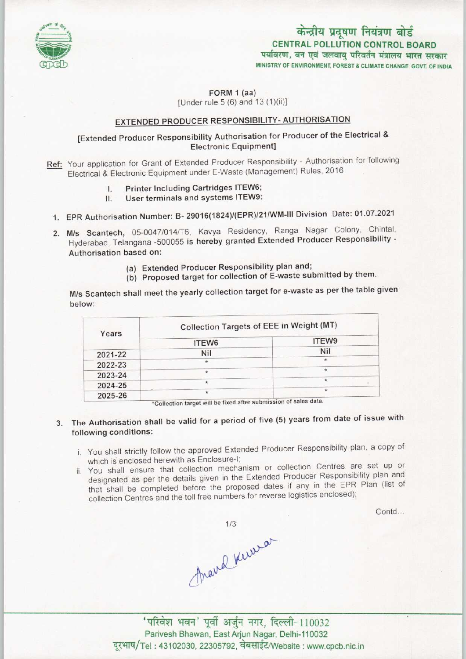

# केन्द्रीय प्रदूषण नियंत्रण बोर्ड CENTRAL POLLUTION CONTROL BOARD<br>पर्यावरण, वन एवं जलवायु परिवर्तन मंत्रालय भारत सरकार

MINISTRY OF ENVIRONMENT, FOREST S CLIMATE CHANGE GOVT. OF INDIA

FORM 1 (aa) [Under rule 5 (6) and 13 (1)(ii)]

## EXTENDED PRODUCER RESPONSIBILITY-AUTHORISATION

## [Extended Producer Responsibility Authorisation for Producer of the Electrical & Electronic Equipment]

- Ref: Your application for Grant of Extended Producer Responsibility Authorisation for following Electrical & Electronic Equipment under E-Waste (Management) Rules, 2016
	- I. Printer Including Cartridges ITEW6;
	- II. User terminals and systems ITEW9:
	- 1.EPR Authorisation Number: B- 29016(1824)/(EPR>/21/WM-lll Division Date: 01.07.2021
	- 2.M/s Scantech, 05-0047/014/T6, Kavya Residency, Ranga Nagar Colony, Chintal, Hyderabad, Telangana -500055 is hereby granted Extended Producer Responsibility - Authorisation based on:
		- (a)Extended Producer Responsibility plan and;
		- (b) Proposed target for collection of E-waste submitted by them.

M/s Scantech shall meet the yearly collection target for e-waste as perthe table given below:

| Years   | Collection Targets of EEE in Weight (MT)    |         |
|---------|---------------------------------------------|---------|
|         | ITEW6                                       | ITEW9   |
| 2021-22 | Nil                                         | Nil     |
| 2022-23 | $\star$                                     | $\star$ |
| 2023-24 | $\star$                                     | $\star$ |
| 2024-25 | $\star$                                     | $\star$ |
| 2025-26 | $\star$<br>and the state of the state data. | $\star$ |

"Collection target will be fixed after submission of sales data.

# 3. The Authorisation shall be valid for a period of five (5) years from date of issue with following conditions:

- i. You shall strictly follow the approved Extended Producer Responsibility plan, a copy of which is enclosed herewith as Enclosure-I;
- ii. You shall ensure that collection mechanism or collection Centres are set up or designated as per the details given in the Extended Producer Responsibility plan and that shall be completed before the proposed dates if any in the EPR Plan (list of collection Centres and the toll free numbers for reverse logistics enclosed);

Contd...

 $1/3$ France Kerrison

'परिवेश भवन' पूर्वी अर्जुन नगर, दिल्ली-110032 Parivesh Bhawan, East Arjun Nagar, Delhi-110032 दूरभाष/Tel: 43102030, 22305792, वेबसाईट/Website : www.cpcb.nic.in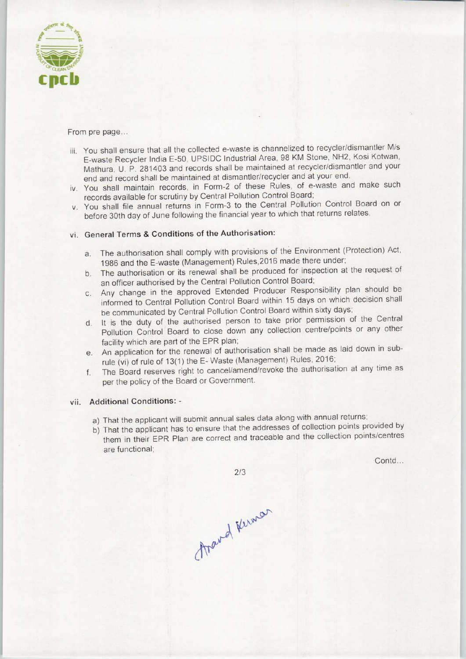

From pre page...

- iii. You shall ensure that all the collected e-waste is channelized to recycler/dismantler M/s E-waste Recycler India E-50, UPSIDC Industrial Area, 98 KM Stone, NH2, Kosi Kotwan, Mathura, U. P. 281403 and records shall be maintained at recycler/dismantler and your end and record shall be maintained at dismantler/recycler and at your end,
- iv. You shall maintain records, in Form-2 of these Rules, of e-waste and make such records available for scrutiny by Central Pollution Control Board;
- v. You shall file annual returns in Form-3 to the Central Pollution Control Board on or before 30th day of June following the financial year to which that returns relates.

### vi. General Terms & Conditions of the Authorisation:

- a. The authorisation shall comply with provisions of the Environment (Protection) Act, 1986 and the E-waste (Management) Rules,2016 made there under;
- b. The authorisation or its renewal shall be produced for inspection at the request of an officer authorised by the Central Pollution Control Board;
- c.Any change in the approved Extended Producer Responsibility plan should be informed to Central Pollution Control Board within 15 days on which decision shall be communicated by Central Pollution Control Board within sixty days;
- d.It is the duty of the authorised person to take prior permission of the Central Pollution Control Board to close down any collection centre/points or any other facility which are part of the EPR plan;
- e. An application for the renewal of authorisation shall be made as laid down in subrule (vi) of rule of 13(1) the E- Waste (Management) Rules, 2016;
- f. The Board reserves right to cancel/amend/revoke the authorisation at any time as per the policy of the Board or Government.

#### vii. Additional Conditions: -

- a) That the applicant will submit annual sales data along with annual returns;
- b) That the applicant has to ensure that the addresses of collection points provided by them in their EPR Plan are correct and traceable and the collection points/centres are functional;

Contd...

 $2/3$ 

thand Kiman